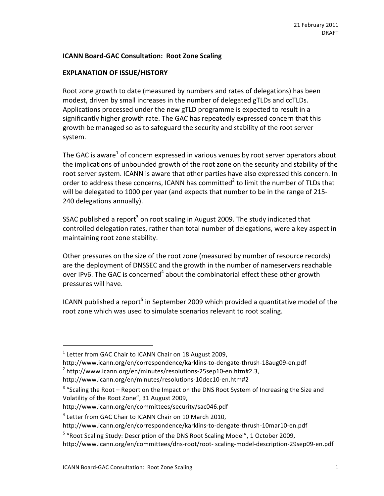# **ICANN Board-GAC Consultation: Root Zone Scaling**

# **EXPLANATION OF ISSUE/HISTORY**

Root zone growth to date (measured by numbers and rates of delegations) has been modest, driven by small increases in the number of delegated gTLDs and ccTLDs. Applications processed under the new gTLD programme is expected to result in a significantly higher growth rate. The GAC has repeatedly expressed concern that this growth be managed so as to safeguard the security and stability of the root server system.

The GAC is aware<sup>1</sup> of concern expressed in various venues by root server operators about the implications of unbounded growth of the root zone on the security and stability of the root server system. ICANN is aware that other parties have also expressed this concern. In order to address these concerns, ICANN has committed<sup>2</sup> to limit the number of TLDs that will be delegated to 1000 per year (and expects that number to be in the range of 215-240 delegations annually).

SSAC published a report<sup>3</sup> on root scaling in August 2009. The study indicated that controlled delegation rates, rather than total number of delegations, were a key aspect in maintaining root zone stability.

Other pressures on the size of the root zone (measured by number of resource records) are the deployment of DNSSEC and the growth in the number of nameservers reachable over IPv6. The GAC is concerned<sup>4</sup> about the combinatorial effect these other growth pressures will have.

ICANN published a report<sup>5</sup> in September 2009 which provided a quantitative model of the root zone which was used to simulate scenarios relevant to root scaling.

1

 $1$  Letter from GAC Chair to ICANN Chair on 18 August 2009,

http://www.icann.org/en/correspondence/karklins-to-dengate-thrush-18aug09-en.pdf  $2$  http://www.icann.org/en/minutes/resolutions-25sep10-en.htm#2.3, http://www.icann.org/en/minutes/resolutions-10dec10-en.htm#2

 $3$  "Scaling the Root – Report on the Impact on the DNS Root System of Increasing the Size and Volatility of the Root Zone", 31 August 2009,

http://www.icann.org/en/committees/security/sac046.pdf

<sup>&</sup>lt;sup>4</sup> Letter from GAC Chair to ICANN Chair on 10 March 2010,

http://www.icann.org/en/correspondence/karklins-to-dengate-thrush-10mar10-en.pdf

<sup>&</sup>lt;sup>5</sup> "Root Scaling Study: Description of the DNS Root Scaling Model", 1 October 2009,

http://www.icann.org/en/committees/dns-root/root-scaling-model-description-29sep09-en.pdf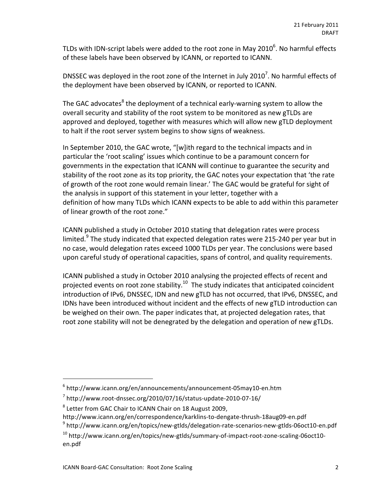TLDs with IDN-script labels were added to the root zone in May 2010<sup>6</sup>. No harmful effects of these labels have been observed by ICANN, or reported to ICANN.

DNSSEC was deployed in the root zone of the Internet in July 2010<sup>7</sup>. No harmful effects of the deployment have been observed by ICANN, or reported to ICANN.

The GAC advocates<sup>8</sup> the deployment of a technical early-warning system to allow the overall security and stability of the root system to be monitored as new gTLDs are approved and deployed, together with measures which will allow new gTLD deployment to halt if the root server system begins to show signs of weakness.

In September 2010, the GAC wrote, "[w]ith regard to the technical impacts and in particular the 'root scaling' issues which continue to be a paramount concern for governments in the expectation that ICANN will continue to guarantee the security and stability of the root zone as its top priority, the GAC notes your expectation that 'the rate of growth of the root zone would remain linear.' The GAC would be grateful for sight of the analysis in support of this statement in your letter, together with a definition of how many TLDs which ICANN expects to be able to add within this parameter of linear growth of the root zone."

ICANN published a study in October 2010 stating that delegation rates were process limited.<sup>9</sup> The study indicated that expected delegation rates were 215-240 per year but in no case, would delegation rates exceed 1000 TLDs per year. The conclusions were based upon careful study of operational capacities, spans of control, and quality requirements.

ICANN published a study in October 2010 analysing the projected effects of recent and projected events on root zone stability.<sup>10</sup> The study indicates that anticipated coincident introduction of IPv6, DNSSEC, IDN and new gTLD has not occurred, that IPv6, DNSSEC, and IDNs have been introduced without incident and the effects of new gTLD introduction can be weighed on their own. The paper indicates that, at projected delegation rates, that root zone stability will not be denegrated by the delegation and operation of new gTLDs.

<sup>9</sup> http://www.icann.org/en/topics/new-gtlds/delegation-rate-scenarios-new-gtlds-06oct10-en.pdf

1

 $6$  http://www.icann.org/en/announcements/announcement-05may10-en.htm

 $^7$  http://www.root-dnssec.org/2010/07/16/status-update-2010-07-16/

<sup>&</sup>lt;sup>8</sup> Letter from GAC Chair to ICANN Chair on 18 August 2009,

http://www.icann.org/en/correspondence/karklins-to-dengate-thrush-18aug09-en.pdf

 $10$  http://www.icann.org/en/topics/new-gtlds/summary-of-impact-root-zone-scaling-06oct10en.pdf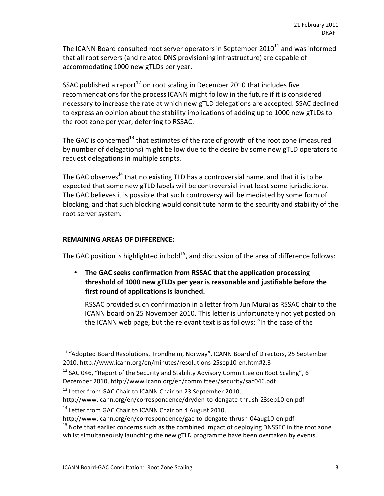The ICANN Board consulted root server operators in September 2010 $^{11}$  and was informed that all root servers (and related DNS provisioning infrastructure) are capable of accommodating 1000 new gTLDs per year.

SSAC published a report<sup>12</sup> on root scaling in December 2010 that includes five recommendations for the process ICANN might follow in the future if it is considered necessary to increase the rate at which new gTLD delegations are accepted. SSAC declined to express an opinion about the stability implications of adding up to 1000 new gTLDs to the root zone per year, deferring to RSSAC.

The GAC is concerned<sup>13</sup> that estimates of the rate of growth of the root zone (measured by number of delegations) might be low due to the desire by some new gTLD operators to request delegations in multiple scripts.

The GAC observes<sup>14</sup> that no existing TLD has a controversial name, and that it is to be expected that some new gTLD labels will be controversial in at least some jurisdictions. The GAC believes it is possible that such controversy will be mediated by some form of blocking, and that such blocking would consititute harm to the security and stability of the root server system.

# **REMAINING AREAS OF DIFFERENCE:**

1

The GAC position is highlighted in bold<sup>15</sup>, and discussion of the area of difference follows:

• The GAC seeks confirmation from RSSAC that the application processing threshold of 1000 new gTLDs per year is reasonable and justifiable before the first round of applications is launched.

RSSAC provided such confirmation in a letter from Jun Murai as RSSAC chair to the ICANN board on 25 November 2010. This letter is unfortunately not yet posted on the ICANN web page, but the relevant text is as follows: "In the case of the

 $11$  "Adopted Board Resolutions, Trondheim, Norway", ICANN Board of Directors, 25 September 2010, http://www.icann.org/en/minutes/resolutions-25sep10-en.htm#2.3

<sup>&</sup>lt;sup>12</sup> SAC 046, "Report of the Security and Stability Advisory Committee on Root Scaling", 6 December 2010, http://www.icann.org/en/committees/security/sac046.pdf

 $13$  Letter from GAC Chair to ICANN Chair on 23 September 2010, http://www.icann.org/en/correspondence/dryden-to-dengate-thrush-23sep10-en.pdf

 $14$  Letter from GAC Chair to ICANN Chair on 4 August 2010,

http://www.icann.org/en/correspondence/gac-to-dengate-thrush-04aug10-en.pdf

<sup>&</sup>lt;sup>15</sup> Note that earlier concerns such as the combined impact of deploying DNSSEC in the root zone whilst simultaneously launching the new gTLD programme have been overtaken by events.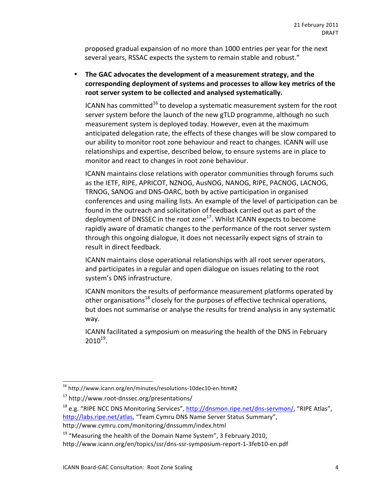proposed gradual expansion of no more than 1000 entries per year for the next several years, RSSAC expects the system to remain stable and robust."

• The GAC advocates the development of a measurement strategy, and the corresponding deployment of systems and processes to allow key metrics of the root server system to be collected and analysed systematically.

ICANN has committed<sup>16</sup> to develop a systematic measurement system for the root server system before the launch of the new gTLD programme, although no such measurement system is deployed today. However, even at the maximum anticipated delegation rate, the effects of these changes will be slow compared to our ability to monitor root zone behaviour and react to changes. ICANN will use relationships and expertise, described below, to ensure systems are in place to monitor and react to changes in root zone behaviour.

ICANN maintains close relations with operator communities through forums such as the IETF, RIPE, APRICOT, NZNOG, AusNOG, NANOG, RIPE, PACNOG, LACNOG, TRNOG, SANOG and DNS-OARC, both by active participation in organised conferences and using mailing lists. An example of the level of participation can be found in the outreach and solicitation of feedback carried out as part of the deployment of DNSSEC in the root zone<sup>17</sup>. Whilst ICANN expects to become rapidly aware of dramatic changes to the performance of the root server system through this ongoing dialogue, it does not necessarily expect signs of strain to result in direct feedback.

ICANN maintains close operational relationships with all root server operators, and participates in a regular and open dialogue on issues relating to the root system's DNS infrastructure.

ICANN monitors the results of performance measurement platforms operated by other organisations<sup>18</sup> closely for the purposes of effective technical operations, but does not summarise or analyse the results for trend analysis in any systematic way.

ICANN facilitated a symposium on measuring the health of the DNS in February  $2010^{19}$ .

 $16$  http://www.icann.org/en/minutes/resolutions-10dec10-en.htm#2

 $17$  http://www.root-dnssec.org/presentations/

<sup>&</sup>lt;sup>18</sup> e.g. "RIPE NCC DNS Monitoring Services", http://dnsmon.ripe.net/dns-servmon/, "RIPE Atlas", http://labs.ripe.net/atlas, "Team Cymru DNS Name Server Status Summary",

http://www.cymru.com/monitoring/dnssumm/index.html

<sup>&</sup>lt;sup>19</sup> "Measuring the health of the Domain Name System", 3 February 2010,

http://www.icann.org/en/topics/ssr/dns-ssr-symposium-report-1-3feb10-en.pdf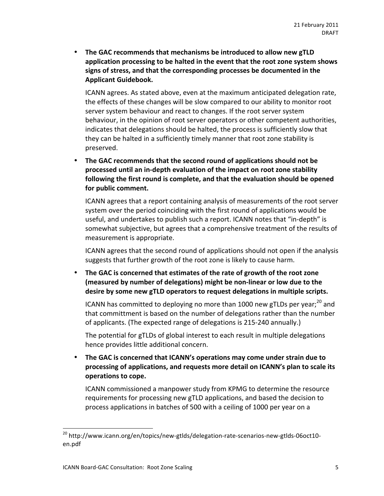• The GAC recommends that mechanisms be introduced to allow new gTLD application processing to be halted in the event that the root zone system shows signs of stress, and that the corresponding processes be documented in the **Applicant Guidebook.** 

ICANN agrees. As stated above, even at the maximum anticipated delegation rate, the effects of these changes will be slow compared to our ability to monitor root server system behaviour and react to changes. If the root server system behaviour, in the opinion of root server operators or other competent authorities, indicates that delegations should be halted, the process is sufficiently slow that they can be halted in a sufficiently timely manner that root zone stability is preserved.

• The GAC recommends that the second round of applications should not be processed until an in-depth evaluation of the impact on root zone stability following the first round is complete, and that the evaluation should be opened for public comment.

ICANN agrees that a report containing analysis of measurements of the root server system over the period coinciding with the first round of applications would be useful, and undertakes to publish such a report. ICANN notes that "in-depth" is somewhat subjective, but agrees that a comprehensive treatment of the results of measurement is appropriate.

ICANN agrees that the second round of applications should not open if the analysis suggests that further growth of the root zone is likely to cause harm.

• The GAC is concerned that estimates of the rate of growth of the root zone (measured by number of delegations) might be non-linear or low due to the desire by some new gTLD operators to request delegations in multiple scripts.

ICANN has committed to deploying no more than 1000 new gTLDs per year;<sup>20</sup> and that committment is based on the number of delegations rather than the number of applicants. (The expected range of delegations is 215-240 annually.)

The potential for gTLDs of global interest to each result in multiple delegations hence provides little additional concern.

The GAC is concerned that ICANN's operations may come under strain due to processing of applications, and requests more detail on ICANN's plan to scale its **operations to cope.** 

ICANN commissioned a manpower study from KPMG to determine the resource requirements for processing new gTLD applications, and based the decision to process applications in batches of 500 with a ceiling of 1000 per year on a

1

<sup>&</sup>lt;sup>20</sup> http://www.icann.org/en/topics/new-gtlds/delegation-rate-scenarios-new-gtlds-06oct10en.pdf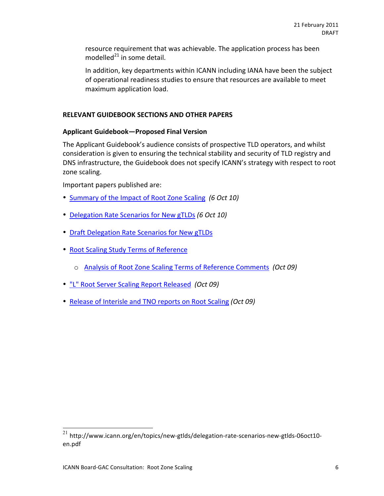resource requirement that was achievable. The application process has been modelled $^{21}$  in some detail.

In addition, key departments within ICANN including IANA have been the subject of operational readiness studies to ensure that resources are available to meet maximum application load.

# **RELEVANT GUIDEBOOK SECTIONS AND OTHER PAPERS**

# **Applicant%Guidebook—Proposed%Final%Version**

The Applicant Guidebook's audience consists of prospective TLD operators, and whilst consideration is given to ensuring the technical stability and security of TLD registry and DNS infrastructure, the Guidebook does not specify ICANN's strategy with respect to root zone scaling.

Important papers published are:

- Summary of the Impact of Root Zone Scaling *(6 Oct 10)*
- Delegation Rate Scenarios for New gTLDs *(6 Oct 10)*
- Draft Delegation Rate Scenarios for New gTLDs
- Root Scaling Study Terms of Reference
	- o Analysis of Root Zone Scaling Terms of Reference Comments *(Oct 09)*
- "L" Root Server Scaling Report Released (Oct 09)
- Release of Interisle and TNO reports on Root Scaling *(Oct 09)*

 $^{21}$  http://www.icann.org/en/topics/new-gtlds/delegation-rate-scenarios-new-gtlds-06oct10en.pdf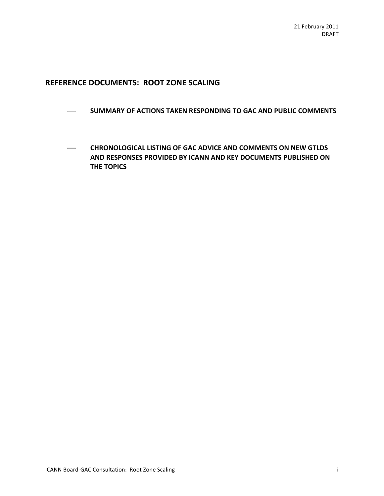# **REFERENCE DOCUMENTS: ROOT ZONE SCALING**

- **EXAMPLE IS IN SUMMARY OF ACTIONS TAKEN RESPONDING TO GAC AND PUBLIC COMMENTS**
- **CHRONOLOGICAL LISTING OF GAC ADVICE AND COMMENTS ON NEW GTLDS AND RESPONSES PROVIDED BY ICANN AND KEY DOCUMENTS PUBLISHED ON THE TOPICS**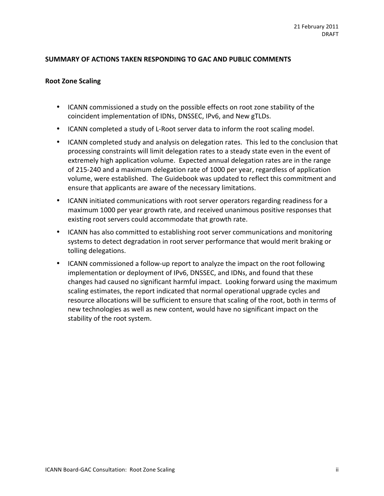# SUMMARY OF ACTIONS TAKEN RESPONDING TO GAC AND PUBLIC COMMENTS

### **Root Zone Scaling**

- ICANN commissioned a study on the possible effects on root zone stability of the coincident implementation of IDNs, DNSSEC, IPv6, and New gTLDs.
- ICANN completed a study of L-Root server data to inform the root scaling model.
- ICANN completed study and analysis on delegation rates. This led to the conclusion that processing constraints will limit delegation rates to a steady state even in the event of extremely high application volume. Expected annual delegation rates are in the range of 215-240 and a maximum delegation rate of 1000 per year, regardless of application volume, were established. The Guidebook was updated to reflect this commitment and ensure that applicants are aware of the necessary limitations.
- ICANN initiated communications with root server operators regarding readiness for a maximum 1000 per year growth rate, and received unanimous positive responses that existing root servers could accommodate that growth rate.
- ICANN has also committed to establishing root server communications and monitoring systems to detect degradation in root server performance that would merit braking or tolling delegations.
- ICANN commissioned a follow-up report to analyze the impact on the root following implementation or deployment of IPv6, DNSSEC, and IDNs, and found that these changes had caused no significant harmful impact. Looking forward using the maximum scaling estimates, the report indicated that normal operational upgrade cycles and resource allocations will be sufficient to ensure that scaling of the root, both in terms of new technologies as well as new content, would have no significant impact on the stability of the root system.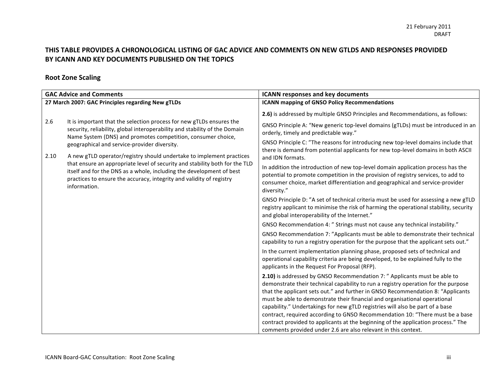# THIS TABLE PROVIDES A CHRONOLOGICAL LISTING OF GAC ADVICE AND COMMENTS ON NEW GTLDS AND RESPONSES PROVIDED BY ICANN AND KEY DOCUMENTS PUBLISHED ON THE TOPICS

# **Root Zone Scaling**

| <b>GAC Advice and Comments</b>                    |                                                                                                                                                                                                                                                                    | <b>ICANN responses and key documents</b>                                                                                                                                                                                                                                                                                                                                                                                                                                                                 |
|---------------------------------------------------|--------------------------------------------------------------------------------------------------------------------------------------------------------------------------------------------------------------------------------------------------------------------|----------------------------------------------------------------------------------------------------------------------------------------------------------------------------------------------------------------------------------------------------------------------------------------------------------------------------------------------------------------------------------------------------------------------------------------------------------------------------------------------------------|
| 27 March 2007: GAC Principles regarding New gTLDs |                                                                                                                                                                                                                                                                    | <b>ICANN mapping of GNSO Policy Recommendations</b>                                                                                                                                                                                                                                                                                                                                                                                                                                                      |
|                                                   |                                                                                                                                                                                                                                                                    | 2.6) is addressed by multiple GNSO Principles and Recommendations, as follows:                                                                                                                                                                                                                                                                                                                                                                                                                           |
| 2.6                                               | It is important that the selection process for new gTLDs ensures the<br>security, reliability, global interoperability and stability of the Domain<br>Name System (DNS) and promotes competition, consumer choice,<br>geographical and service-provider diversity. | GNSO Principle A: "New generic top-level domains (gTLDs) must be introduced in an<br>orderly, timely and predictable way."                                                                                                                                                                                                                                                                                                                                                                               |
|                                                   |                                                                                                                                                                                                                                                                    | GNSO Principle C: "The reasons for introducing new top-level domains include that<br>there is demand from potential applicants for new top-level domains in both ASCII                                                                                                                                                                                                                                                                                                                                   |
| 2.10                                              | A new gTLD operator/registry should undertake to implement practices                                                                                                                                                                                               | and IDN formats.                                                                                                                                                                                                                                                                                                                                                                                                                                                                                         |
|                                                   | that ensure an appropriate level of security and stability both for the TLD<br>itself and for the DNS as a whole, including the development of best<br>practices to ensure the accuracy, integrity and validity of registry<br>information.                        | In addition the introduction of new top-level domain application process has the<br>potential to promote competition in the provision of registry services, to add to<br>consumer choice, market differentiation and geographical and service-provider<br>diversity."<br>GNSO Principle D: "A set of technical criteria must be used for assessing a new gTLD<br>registry applicant to minimise the risk of harming the operational stability, security<br>and global interoperability of the Internet." |
|                                                   |                                                                                                                                                                                                                                                                    |                                                                                                                                                                                                                                                                                                                                                                                                                                                                                                          |
|                                                   |                                                                                                                                                                                                                                                                    | GNSO Recommendation 4: " Strings must not cause any technical instability."                                                                                                                                                                                                                                                                                                                                                                                                                              |
|                                                   |                                                                                                                                                                                                                                                                    | GNSO Recommendation 7: "Applicants must be able to demonstrate their technical<br>capability to run a registry operation for the purpose that the applicant sets out."                                                                                                                                                                                                                                                                                                                                   |
|                                                   |                                                                                                                                                                                                                                                                    | In the current implementation planning phase, proposed sets of technical and<br>operational capability criteria are being developed, to be explained fully to the<br>applicants in the Request For Proposal (RFP).                                                                                                                                                                                                                                                                                       |
|                                                   |                                                                                                                                                                                                                                                                    | 2.10) is addressed by GNSO Recommendation 7: " Applicants must be able to<br>demonstrate their technical capability to run a registry operation for the purpose<br>that the applicant sets out." and further in GNSO Recommendation 8: "Applicants<br>must be able to demonstrate their financial and organisational operational                                                                                                                                                                         |
|                                                   |                                                                                                                                                                                                                                                                    | capability." Undertakings for new gTLD registries will also be part of a base                                                                                                                                                                                                                                                                                                                                                                                                                            |
|                                                   |                                                                                                                                                                                                                                                                    | contract, required according to GNSO Recommendation 10: "There must be a base                                                                                                                                                                                                                                                                                                                                                                                                                            |
|                                                   |                                                                                                                                                                                                                                                                    | contract provided to applicants at the beginning of the application process." The                                                                                                                                                                                                                                                                                                                                                                                                                        |
|                                                   |                                                                                                                                                                                                                                                                    | comments provided under 2.6 are also relevant in this context.                                                                                                                                                                                                                                                                                                                                                                                                                                           |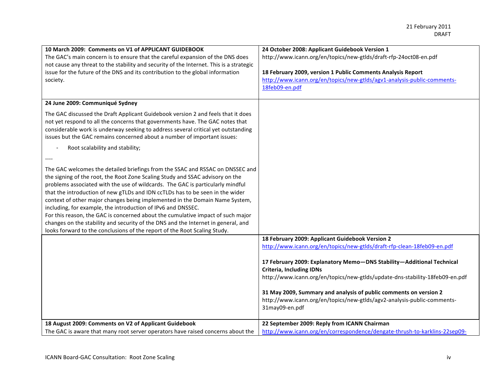| 10 March 2009: Comments on V1 of APPLICANT GUIDEBOOK<br>The GAC's main concern is to ensure that the careful expansion of the DNS does<br>not cause any threat to the stability and security of the Internet. This is a strategic<br>issue for the future of the DNS and its contribution to the global information<br>society.                                                                                                                                                                                                                                                                                                                                                                                                       | 24 October 2008: Applicant Guidebook Version 1<br>http://www.icann.org/en/topics/new-gtlds/draft-rfp-24oct08-en.pdf<br>18 February 2009, version 1 Public Comments Analysis Report<br>http://www.icann.org/en/topics/new-gtlds/agv1-analysis-public-comments-<br>18feb09-en.pdf                                                                            |
|---------------------------------------------------------------------------------------------------------------------------------------------------------------------------------------------------------------------------------------------------------------------------------------------------------------------------------------------------------------------------------------------------------------------------------------------------------------------------------------------------------------------------------------------------------------------------------------------------------------------------------------------------------------------------------------------------------------------------------------|------------------------------------------------------------------------------------------------------------------------------------------------------------------------------------------------------------------------------------------------------------------------------------------------------------------------------------------------------------|
| 24 June 2009: Communiqué Sydney                                                                                                                                                                                                                                                                                                                                                                                                                                                                                                                                                                                                                                                                                                       |                                                                                                                                                                                                                                                                                                                                                            |
| The GAC discussed the Draft Applicant Guidebook version 2 and feels that it does<br>not yet respond to all the concerns that governments have. The GAC notes that<br>considerable work is underway seeking to address several critical yet outstanding<br>issues but the GAC remains concerned about a number of important issues:                                                                                                                                                                                                                                                                                                                                                                                                    |                                                                                                                                                                                                                                                                                                                                                            |
| Root scalability and stability;                                                                                                                                                                                                                                                                                                                                                                                                                                                                                                                                                                                                                                                                                                       |                                                                                                                                                                                                                                                                                                                                                            |
|                                                                                                                                                                                                                                                                                                                                                                                                                                                                                                                                                                                                                                                                                                                                       |                                                                                                                                                                                                                                                                                                                                                            |
| The GAC welcomes the detailed briefings from the SSAC and RSSAC on DNSSEC and<br>the signing of the root, the Root Zone Scaling Study and SSAC advisory on the<br>problems associated with the use of wildcards. The GAC is particularly mindful<br>that the introduction of new gTLDs and IDN ccTLDs has to be seen in the wider<br>context of other major changes being implemented in the Domain Name System,<br>including, for example, the introduction of IPv6 and DNSSEC.<br>For this reason, the GAC is concerned about the cumulative impact of such major<br>changes on the stability and security of the DNS and the Internet in general, and<br>looks forward to the conclusions of the report of the Root Scaling Study. |                                                                                                                                                                                                                                                                                                                                                            |
|                                                                                                                                                                                                                                                                                                                                                                                                                                                                                                                                                                                                                                                                                                                                       | 18 February 2009: Applicant Guidebook Version 2                                                                                                                                                                                                                                                                                                            |
|                                                                                                                                                                                                                                                                                                                                                                                                                                                                                                                                                                                                                                                                                                                                       | http://www.icann.org/en/topics/new-gtlds/draft-rfp-clean-18feb09-en.pdf                                                                                                                                                                                                                                                                                    |
|                                                                                                                                                                                                                                                                                                                                                                                                                                                                                                                                                                                                                                                                                                                                       | 17 February 2009: Explanatory Memo-DNS Stability-Additional Technical<br><b>Criteria, Including IDNs</b><br>http://www.icann.org/en/topics/new-gtlds/update-dns-stability-18feb09-en.pdf<br>31 May 2009, Summary and analysis of public comments on version 2<br>http://www.icann.org/en/topics/new-gtlds/agv2-analysis-public-comments-<br>31may09-en.pdf |
| 18 August 2009: Comments on V2 of Applicant Guidebook                                                                                                                                                                                                                                                                                                                                                                                                                                                                                                                                                                                                                                                                                 | 22 September 2009: Reply from ICANN Chairman                                                                                                                                                                                                                                                                                                               |
| The GAC is aware that many root server operators have raised concerns about the                                                                                                                                                                                                                                                                                                                                                                                                                                                                                                                                                                                                                                                       | http://www.icann.org/en/correspondence/dengate-thrush-to-karklins-22sep09-                                                                                                                                                                                                                                                                                 |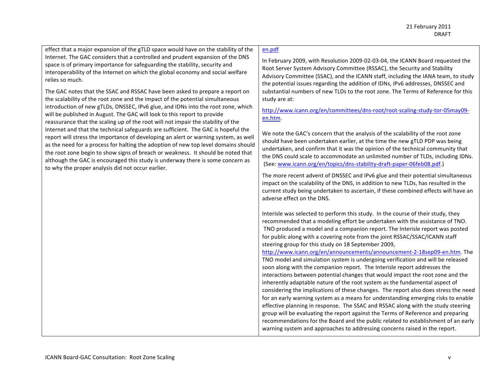effect that a major expansion of the gTLD space would have on the stability of the Internet. The GAC considers that a controlled and prudent expansion of the DNS space is of primary importance for safeguarding the stability, security and interoperability of the Internet on which the global economy and social welfare relies so much.

The GAC notes that the SSAC and RSSAC have been asked to prepare a report on the scalability of the root zone and the impact of the potential simultaneous introduction of new gTLDs, DNSSEC, IPv6 glue, and IDNs into the root zone, which will be published in August. The GAC will look to this report to provide reassurance that the scaling up of the root will not impair the stability of the Internet and that the technical safeguards are sufficient. The GAC is hopeful the report will stress the importance of developing an alert or warning system, as well as the need for a process for halting the adoption of new top level domains should the root zone begin to show signs of breach or weakness. It should be noted that although the GAC is encouraged this study is underway there is some concern as to why the proper analysis did not occur earlier.

### en.pdf

In February 2009, with Resolution 2009-02-03-04, the ICANN Board requested the Root Server System Advisory Committee (RSSAC), the Security and Stability Advisory Committee (SSAC), and the ICANN staff, including the IANA team, to study the potential issues regarding the addition of IDNs, IPv6 addresses, DNSSEC and substantial numbers of new TLDs to the root zone. The Terms of Reference for this study are at:

http://www.icann.org/en/committees/dns-root/root-scaling-study-tor-05may09en.htm.#

We note the GAC's concern that the analysis of the scalability of the root zone should have been undertaken earlier, at the time the new gTLD PDP was being undertaken, and confirm that it was the opinion of the technical community that the DNS could scale to accommodate an unlimited number of TLDs, including IDNs. (See: www.icann.org/en/topics/dns-stability-draft-paper-06feb08.pdf.)

The more recent advent of DNSSEC and IPv6 glue and their potential simultaneous impact on the scalability of the DNS, in addition to new TLDs, has resulted in the current study being undertaken to ascertain, if these combined effects will have an adverse effect on the DNS.

Interisle was selected to perform this study. In the course of their study, they recommended that a modeling effort be undertaken with the assistance of TNO. TNO produced a model and a companion report. The Interisle report was posted for public along with a covering note from the joint RSSAC/SSAC/ICANN staff steering group for this study on 18 September 2009,

http://www.icann.org/en/announcements/announcement-2-18sep09-en.htm. The TNO model and simulation system is undergoing verification and will be released soon along with the companion report. The Interisle report addresses the interactions between potential changes that would impact the root zone and the inherently adaptable nature of the root system as the fundamental aspect of considering the implications of these changes. The report also does stress the need for an early warning system as a means for understanding emerging risks to enable effective planning in response. The SSAC and RSSAC along with the study steering group will be evaluating the report against the Terms of Reference and preparing recommendations for the Board and the public related to establishment of an early warning system and approaches to addressing concerns raised in the report.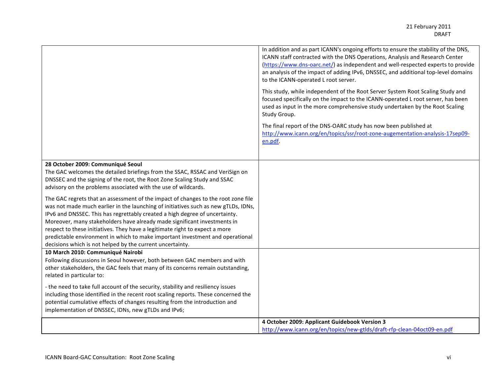|                                                                                                                                                                                                                                                                                                                                                                                                                                                                                                                                                                                                                                   | In addition and as part ICANN's ongoing efforts to ensure the stability of the DNS,<br>ICANN staff contracted with the DNS Operations, Analysis and Research Center<br>(https://www.dns-oarc.net/) as independent and well-respected experts to provide<br>an analysis of the impact of adding IPv6, DNSSEC, and additional top-level domains<br>to the ICANN-operated L root server. |
|-----------------------------------------------------------------------------------------------------------------------------------------------------------------------------------------------------------------------------------------------------------------------------------------------------------------------------------------------------------------------------------------------------------------------------------------------------------------------------------------------------------------------------------------------------------------------------------------------------------------------------------|---------------------------------------------------------------------------------------------------------------------------------------------------------------------------------------------------------------------------------------------------------------------------------------------------------------------------------------------------------------------------------------|
|                                                                                                                                                                                                                                                                                                                                                                                                                                                                                                                                                                                                                                   | This study, while independent of the Root Server System Root Scaling Study and<br>focused specifically on the impact to the ICANN-operated L root server, has been<br>used as input in the more comprehensive study undertaken by the Root Scaling<br>Study Group.                                                                                                                    |
|                                                                                                                                                                                                                                                                                                                                                                                                                                                                                                                                                                                                                                   | The final report of the DNS-OARC study has now been published at<br>http://www.icann.org/en/topics/ssr/root-zone-augementation-analysis-17sep09-<br>en.pdf.                                                                                                                                                                                                                           |
| 28 October 2009: Communiqué Seoul<br>The GAC welcomes the detailed briefings from the SSAC, RSSAC and VeriSign on<br>DNSSEC and the signing of the root, the Root Zone Scaling Study and SSAC                                                                                                                                                                                                                                                                                                                                                                                                                                     |                                                                                                                                                                                                                                                                                                                                                                                       |
| advisory on the problems associated with the use of wildcards.<br>The GAC regrets that an assessment of the impact of changes to the root zone file<br>was not made much earlier in the launching of initiatives such as new gTLDs, IDNs,<br>IPv6 and DNSSEC. This has regrettably created a high degree of uncertainty.<br>Moreover, many stakeholders have already made significant investments in<br>respect to these initiatives. They have a legitimate right to expect a more<br>predictable environment in which to make important investment and operational<br>decisions which is not helped by the current uncertainty. |                                                                                                                                                                                                                                                                                                                                                                                       |
| 10 March 2010: Communiqué Nairobi<br>Following discussions in Seoul however, both between GAC members and with<br>other stakeholders, the GAC feels that many of its concerns remain outstanding,<br>related in particular to:                                                                                                                                                                                                                                                                                                                                                                                                    |                                                                                                                                                                                                                                                                                                                                                                                       |
| - the need to take full account of the security, stability and resiliency issues<br>including those identified in the recent root scaling reports. These concerned the<br>potential cumulative effects of changes resulting from the introduction and<br>implementation of DNSSEC, IDNs, new gTLDs and IPv6;                                                                                                                                                                                                                                                                                                                      |                                                                                                                                                                                                                                                                                                                                                                                       |
|                                                                                                                                                                                                                                                                                                                                                                                                                                                                                                                                                                                                                                   | 4 October 2009: Applicant Guidebook Version 3                                                                                                                                                                                                                                                                                                                                         |
|                                                                                                                                                                                                                                                                                                                                                                                                                                                                                                                                                                                                                                   | http://www.icann.org/en/topics/new-gtlds/draft-rfp-clean-04oct09-en.pdf                                                                                                                                                                                                                                                                                                               |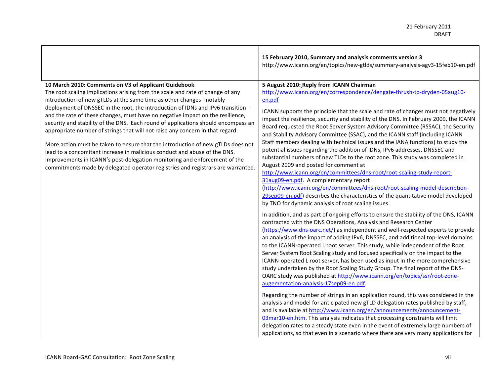|                                                                                                                                                                                                                                                                                                                                                                                                                                                                                                                                                                                                                                                                                                                                                                                                                                                                                             | 15 February 2010, Summary and analysis comments version 3<br>http://www.icann.org/en/topics/new-gtlds/summary-analysis-agv3-15feb10-en.pdf                                                                                                                                                                                                                                                                                                                                                                                                                                                                                                                                                                                                                                                                                                                                                                                                                                                                                                                                                                                                                                                                                                                                                                                                                                                                                                                                                                                                                                                                                                                                                                                                                                                                                                                                                                                                                                                                                                                                                                                                                                                                                                                                                                                                                                                                                                                 |
|---------------------------------------------------------------------------------------------------------------------------------------------------------------------------------------------------------------------------------------------------------------------------------------------------------------------------------------------------------------------------------------------------------------------------------------------------------------------------------------------------------------------------------------------------------------------------------------------------------------------------------------------------------------------------------------------------------------------------------------------------------------------------------------------------------------------------------------------------------------------------------------------|------------------------------------------------------------------------------------------------------------------------------------------------------------------------------------------------------------------------------------------------------------------------------------------------------------------------------------------------------------------------------------------------------------------------------------------------------------------------------------------------------------------------------------------------------------------------------------------------------------------------------------------------------------------------------------------------------------------------------------------------------------------------------------------------------------------------------------------------------------------------------------------------------------------------------------------------------------------------------------------------------------------------------------------------------------------------------------------------------------------------------------------------------------------------------------------------------------------------------------------------------------------------------------------------------------------------------------------------------------------------------------------------------------------------------------------------------------------------------------------------------------------------------------------------------------------------------------------------------------------------------------------------------------------------------------------------------------------------------------------------------------------------------------------------------------------------------------------------------------------------------------------------------------------------------------------------------------------------------------------------------------------------------------------------------------------------------------------------------------------------------------------------------------------------------------------------------------------------------------------------------------------------------------------------------------------------------------------------------------------------------------------------------------------------------------------------------------|
| 10 March 2010: Comments on V3 of Applicant Guidebook<br>The root scaling implications arising from the scale and rate of change of any<br>introduction of new gTLDs at the same time as other changes - notably<br>deployment of DNSSEC in the root, the introduction of IDNs and IPv6 transition -<br>and the rate of these changes, must have no negative impact on the resilience,<br>security and stability of the DNS. Each round of applications should encompass an<br>appropriate number of strings that will not raise any concern in that regard.<br>More action must be taken to ensure that the introduction of new gTLDs does not<br>lead to a concomitant increase in malicious conduct and abuse of the DNS.<br>Improvements in ICANN's post-delegation monitoring and enforcement of the<br>commitments made by delegated operator registries and registrars are warranted. | 5 August 2010: Reply from ICANN Chairman<br>http://www.icann.org/en/correspondence/dengate-thrush-to-dryden-05aug10-<br>en.pdf<br>ICANN supports the principle that the scale and rate of changes must not negatively<br>impact the resilience, security and stability of the DNS. In February 2009, the ICANN<br>Board requested the Root Server System Advisory Committee (RSSAC), the Security<br>and Stability Advisory Committee (SSAC), and the ICANN staff (including ICANN<br>Staff members dealing with technical issues and the IANA functions) to study the<br>potential issues regarding the addition of IDNs, IPv6 addresses, DNSSEC and<br>substantial numbers of new TLDs to the root zone. This study was completed in<br>August 2009 and posted for comment at<br>http://www.icann.org/en/committees/dns-root/root-scaling-study-report-<br>31aug09-en.pdf. A complementary report<br>(http://www.icann.org/en/committees/dns-root/root-scaling-model-description-<br>29sep09-en.pdf) describes the characteristics of the quantitative model developed<br>by TNO for dynamic analysis of root scaling issues.<br>In addition, and as part of ongoing efforts to ensure the stability of the DNS, ICANN<br>contracted with the DNS Operations, Analysis and Research Center<br>(https://www.dns-oarc.net/) as independent and well-respected experts to provide<br>an analysis of the impact of adding IPv6, DNSSEC, and additional top-level domains<br>to the ICANN-operated L root server. This study, while independent of the Root<br>Server System Root Scaling study and focused specifically on the impact to the<br>ICANN-operated L root server, has been used as input in the more comprehensive<br>study undertaken by the Root Scaling Study Group. The final report of the DNS-<br>OARC study was published at http://www.icann.org/en/topics/ssr/root-zone-<br>augementation-analysis-17sep09-en.pdf.<br>Regarding the number of strings in an application round, this was considered in the<br>analysis and model for anticipated new gTLD delegation rates published by staff,<br>and is available at http://www.icann.org/en/announcements/announcement-<br>03mar10-en.htm. This analysis indicates that processing constraints will limit<br>delegation rates to a steady state even in the event of extremely large numbers of<br>applications, so that even in a scenario where there are very many applications for |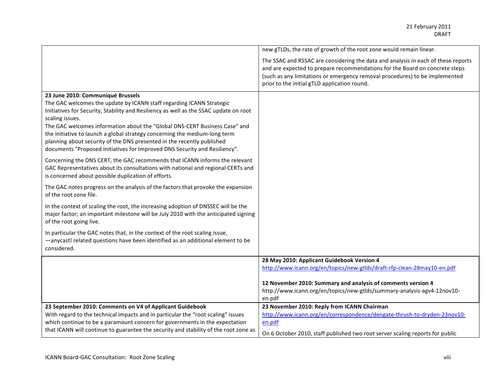|                                                                                                                                                                 | new gTLDs, the rate of growth of the root zone would remain linear.                                                                                                                                                                                                                             |
|-----------------------------------------------------------------------------------------------------------------------------------------------------------------|-------------------------------------------------------------------------------------------------------------------------------------------------------------------------------------------------------------------------------------------------------------------------------------------------|
|                                                                                                                                                                 | The SSAC and RSSAC are considering the data and analysis in each of these reports<br>and are expected to prepare recommendations for the Board on concrete steps<br>(such as any limitations or emergency removal procedures) to be implemented<br>prior to the initial gTLD application round. |
| 23 June 2010: Communiqué Brussels                                                                                                                               |                                                                                                                                                                                                                                                                                                 |
| The GAC welcomes the update by ICANN staff regarding ICANN Strategic<br>Initiatives for Security, Stability and Resiliency as well as the SSAC update on root   |                                                                                                                                                                                                                                                                                                 |
| scaling issues.                                                                                                                                                 |                                                                                                                                                                                                                                                                                                 |
| The GAC welcomes information about the "Global DNS-CERT Business Case" and                                                                                      |                                                                                                                                                                                                                                                                                                 |
| the initiative to launch a global strategy concerning the medium-long term                                                                                      |                                                                                                                                                                                                                                                                                                 |
| planning about security of the DNS presented in the recently published<br>documents "Proposed Initiatives for Improved DNS Security and Resiliency".            |                                                                                                                                                                                                                                                                                                 |
|                                                                                                                                                                 |                                                                                                                                                                                                                                                                                                 |
| Concerning the DNS CERT, the GAC recommends that ICANN informs the relevant<br>GAC Representatives about its consultations with national and regional CERTs and |                                                                                                                                                                                                                                                                                                 |
| is concerned about possible duplication of efforts.                                                                                                             |                                                                                                                                                                                                                                                                                                 |
| The GAC notes progress on the analysis of the factors that provoke the expansion                                                                                |                                                                                                                                                                                                                                                                                                 |
| of the root zone file.                                                                                                                                          |                                                                                                                                                                                                                                                                                                 |
| In the context of scaling the root, the increasing adoption of DNSSEC will be the                                                                               |                                                                                                                                                                                                                                                                                                 |
| major factor; an important milestone will be July 2010 with the anticipated signing<br>of the root going live.                                                  |                                                                                                                                                                                                                                                                                                 |
| In particular the GAC notes that, in the context of the root scaling issue,                                                                                     |                                                                                                                                                                                                                                                                                                 |
| -anycastl related questions have been identified as an additional element to be                                                                                 |                                                                                                                                                                                                                                                                                                 |
| considered.                                                                                                                                                     |                                                                                                                                                                                                                                                                                                 |
|                                                                                                                                                                 | 28 May 2010: Applicant Guidebook Version 4                                                                                                                                                                                                                                                      |
|                                                                                                                                                                 | http://www.icann.org/en/topics/new-gtlds/draft-rfp-clean-28may10-en.pdf                                                                                                                                                                                                                         |
|                                                                                                                                                                 | 12 November 2010: Summary and analysis of comments version 4                                                                                                                                                                                                                                    |
|                                                                                                                                                                 | http://www.icann.org/en/topics/new-gtlds/summary-analysis-agv4-12nov10-                                                                                                                                                                                                                         |
|                                                                                                                                                                 | en.pdf                                                                                                                                                                                                                                                                                          |
| 23 September 2010: Comments on V4 of Applicant Guidebook                                                                                                        | 23 November 2010: Reply from ICANN Chairman<br>http://www.icann.org/en/correspondence/dengate-thrush-to-dryden-23nov10-                                                                                                                                                                         |
| With regard to the technical impacts and in particular the "root scaling" issues<br>which continue to be a paramount concern for governments in the expectation | en.pdf                                                                                                                                                                                                                                                                                          |
| that ICANN will continue to guarantee the security and stability of the root zone as                                                                            |                                                                                                                                                                                                                                                                                                 |
|                                                                                                                                                                 | On 6 October 2010, staff published two root server scaling reports for public                                                                                                                                                                                                                   |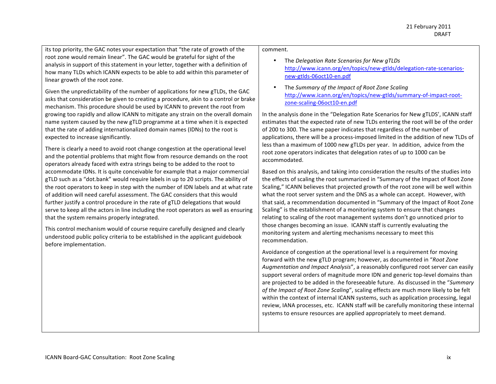its top priority, the GAC notes your expectation that "the rate of growth of the root zone would remain linear". The GAC would be grateful for sight of the analysis in support of this statement in your letter, together with a definition of how many TLDs which ICANN expects to be able to add within this parameter of linear growth of the root zone.

Given the unpredictability of the number of applications for new gTLDs, the GAC asks that consideration be given to creating a procedure, akin to a control or brake mechanism. This procedure should be used by ICANN to prevent the root from growing too rapidly and allow ICANN to mitigate any strain on the overall domain name system caused by the new gTLD programme at a time when it is expected that the rate of adding internationalized domain names (IDNs) to the root is expected to increase significantly.

There is clearly a need to avoid root change congestion at the operational level and the potential problems that might flow from resource demands on the root operators already faced with extra strings being to be added to the root to accommodate IDNs. It is quite conceivable for example that a major commercial gTLD such as a "dot.bank" would require labels in up to 20 scripts. The ability of the root operators to keep in step with the number of IDN labels and at what rate of addition will need careful assessment. The GAC considers that this would further justify a control procedure in the rate of gTLD delegations that would serve to keep all the actors in line including the root operators as well as ensuring that the system remains properly integrated.

This control mechanism would of course require carefully designed and clearly understood public policy criteria to be established in the applicant guidebook before implementation.

#### comment.#

- The *Delegation Rate Scenarios for New gTLDs* http://www.icann.org/en/topics/new-gtlds/delegation-rate-scenariosnew-gtlds-06oct10-en.pdf
- The *Summary of the Impact of Root Zone Scaling* http://www.icann.org/en/topics/new-gtlds/summary-of-impact-rootzone-scaling-06oct10-en.pdf

In the analysis done in the "Delegation Rate Scenarios for New gTLDS', ICANN staff estimates that the expected rate of new TLDs entering the root will be of the order of 200 to 300. The same paper indicates that regardless of the number of applications, there will be a process-imposed limited in the addition of new TLDs of less than a maximum of 1000 new gTLDs per year. In addition, advice from the root zone operators indicates that delegation rates of up to 1000 can be accommodated.

Based on this analysis, and taking into consideration the results of the studies into the effects of scaling the root summarized in "Summary of the Impact of Root Zone Scaling," ICANN believes that projected growth of the root zone will be well within what the root server system and the DNS as a whole can accept. However, with that said, a recommendation documented in "Summary of the Impact of Root Zone Scaling" is the establishment of a monitoring system to ensure that changes relating to scaling of the root management systems don't go unnoticed prior to those changes becoming an issue. ICANN staff is currently evaluating the monitoring system and alerting mechanisms necessary to meet this recommendation.#

Avoidance of congestion at the operational level is a requirement for moving forward with the new gTLD program; however, as documented in "*Root Zone*" Augmentation and Impact Analysis", a reasonably configured root server can easily support several orders of magnitude more IDN and generic top-level domains than are projected to be added in the foreseeable future. As discussed in the "Summary" *of the Impact of Root Zone Scaling*", scaling effects are much more likely to be felt within the context of internal ICANN systems, such as application processing, legal review, IANA processes, etc. ICANN staff will be carefully monitoring these internal systems to ensure resources are applied appropriately to meet demand.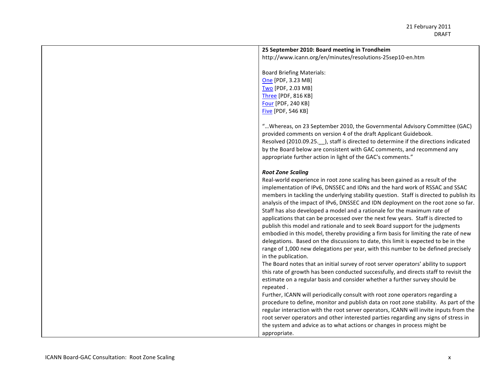### 25 September 2010: Board meeting in Trondheim

http://www.icann.org/en/minutes/resolutions-25sep10-en.htm

Board Briefing Materials: One [PDF, 3.23 MB] Two [PDF, 2.03 MB] Three [PDF, 816 KB] Four [PDF, 240 KB] Five [PDF, 546 KB]

"... Whereas, on 23 September 2010, the Governmental Advisory Committee (GAC) provided comments on version 4 of the draft Applicant Guidebook. Resolved (2010.09.25. ), staff is directed to determine if the directions indicated by the Board below are consistent with GAC comments, and recommend any appropriate further action in light of the GAC's comments."

#### *Root\$Zone\$Scaling*

Real-world experience in root zone scaling has been gained as a result of the implementation of IPv6, DNSSEC and IDNs and the hard work of RSSAC and SSAC members in tackling the underlying stability question. Staff is directed to publish its analysis of the impact of IPv6, DNSSEC and IDN deployment on the root zone so far. Staff has also developed a model and a rationale for the maximum rate of applications that can be processed over the next few years. Staff is directed to publish this model and rationale and to seek Board support for the judgments embodied in this model, thereby providing a firm basis for limiting the rate of new delegations. Based on the discussions to date, this limit is expected to be in the range of 1,000 new delegations per year, with this number to be defined precisely in the publication.

The Board notes that an initial survey of root server operators' ability to support this rate of growth has been conducted successfully, and directs staff to revisit the estimate on a regular basis and consider whether a further survey should be repeated.

Further, ICANN will periodically consult with root zone operators regarding a procedure to define, monitor and publish data on root zone stability. As part of the regular interaction with the root server operators, ICANN will invite inputs from the root server operators and other interested parties regarding any signs of stress in the system and advice as to what actions or changes in process might be appropriate.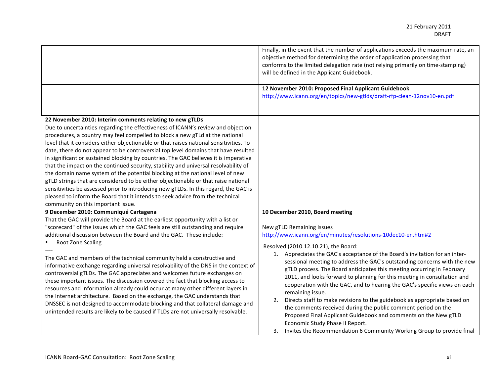|                                                                                                                                                                                                                                                                                                                                                                                                                                                                                                                                                                                                                                                                                                                                                                                                                                                                                                                                                                                                                            | Finally, in the event that the number of applications exceeds the maximum rate, an<br>objective method for determining the order of application processing that<br>conforms to the limited delegation rate (not relying primarily on time-stamping)<br>will be defined in the Applicant Guidebook.                                                                                                                                                                                                                                                                                                                                                                                                                                                                                                                                                                                       |
|----------------------------------------------------------------------------------------------------------------------------------------------------------------------------------------------------------------------------------------------------------------------------------------------------------------------------------------------------------------------------------------------------------------------------------------------------------------------------------------------------------------------------------------------------------------------------------------------------------------------------------------------------------------------------------------------------------------------------------------------------------------------------------------------------------------------------------------------------------------------------------------------------------------------------------------------------------------------------------------------------------------------------|------------------------------------------------------------------------------------------------------------------------------------------------------------------------------------------------------------------------------------------------------------------------------------------------------------------------------------------------------------------------------------------------------------------------------------------------------------------------------------------------------------------------------------------------------------------------------------------------------------------------------------------------------------------------------------------------------------------------------------------------------------------------------------------------------------------------------------------------------------------------------------------|
|                                                                                                                                                                                                                                                                                                                                                                                                                                                                                                                                                                                                                                                                                                                                                                                                                                                                                                                                                                                                                            | 12 November 2010: Proposed Final Applicant Guidebook<br>http://www.icann.org/en/topics/new-gtlds/draft-rfp-clean-12nov10-en.pdf                                                                                                                                                                                                                                                                                                                                                                                                                                                                                                                                                                                                                                                                                                                                                          |
| 22 November 2010: Interim comments relating to new gTLDs<br>Due to uncertainties regarding the effectiveness of ICANN's review and objection<br>procedures, a country may feel compelled to block a new gTLd at the national<br>level that it considers either objectionable or that raises national sensitivities. To<br>date, there do not appear to be controversial top level domains that have resulted<br>in significant or sustained blocking by countries. The GAC believes it is imperative<br>that the impact on the continued security, stability and universal resolvability of<br>the domain name system of the potential blocking at the national level of new<br>gTLD strings that are considered to be either objectionable or that raise national<br>sensitivities be assessed prior to introducing new gTLDs. In this regard, the GAC is<br>pleased to inform the Board that it intends to seek advice from the technical<br>community on this important issue.<br>9 December 2010: Communiqué Cartagena | 10 December 2010, Board meeting                                                                                                                                                                                                                                                                                                                                                                                                                                                                                                                                                                                                                                                                                                                                                                                                                                                          |
| That the GAC will provide the Board at the earliest opportunity with a list or<br>"scorecard" of the issues which the GAC feels are still outstanding and require<br>additional discussion between the Board and the GAC. These include:<br>Root Zone Scaling<br>The GAC and members of the technical community held a constructive and<br>informative exchange regarding universal resolvability of the DNS in the context of<br>controversial gTLDs. The GAC appreciates and welcomes future exchanges on<br>these important issues. The discussion covered the fact that blocking access to<br>resources and information already could occur at many other different layers in<br>the Internet architecture. Based on the exchange, the GAC understands that<br>DNSSEC is not designed to accommodate blocking and that collateral damage and<br>unintended results are likely to be caused if TLDs are not universally resolvable.                                                                                     | New gTLD Remaining Issues<br>http://www.icann.org/en/minutes/resolutions-10dec10-en.htm#2<br>Resolved (2010.12.10.21), the Board:<br>1. Appreciates the GAC's acceptance of the Board's invitation for an inter-<br>sessional meeting to address the GAC's outstanding concerns with the new<br>gTLD process. The Board anticipates this meeting occurring in February<br>2011, and looks forward to planning for this meeting in consultation and<br>cooperation with the GAC, and to hearing the GAC's specific views on each<br>remaining issue.<br>Directs staff to make revisions to the guidebook as appropriate based on<br>2.<br>the comments received during the public comment period on the<br>Proposed Final Applicant Guidebook and comments on the New gTLD<br>Economic Study Phase II Report.<br>3. Invites the Recommendation 6 Community Working Group to provide final |